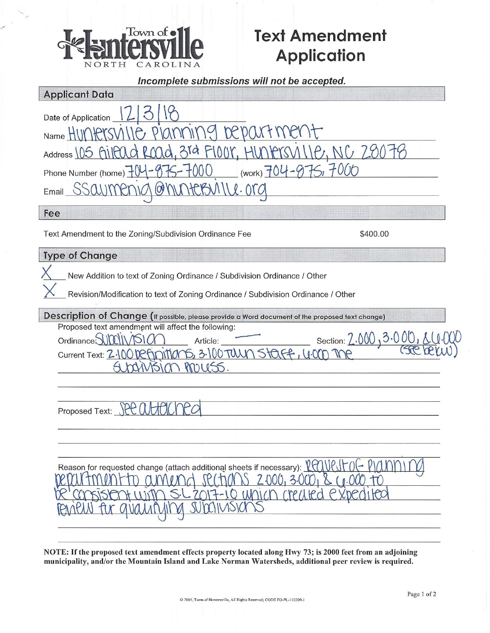

# **Text Amendment Application**

| NURIH<br>CAROLINA                                                                                                                                                                                                                                                                                                                                                                                                                                       |
|---------------------------------------------------------------------------------------------------------------------------------------------------------------------------------------------------------------------------------------------------------------------------------------------------------------------------------------------------------------------------------------------------------------------------------------------------------|
| Incomplete submissions will not be accepted.                                                                                                                                                                                                                                                                                                                                                                                                            |
| <b>Applicant Data</b>                                                                                                                                                                                                                                                                                                                                                                                                                                   |
| Date of Application<br>Name HIW<br>3rd<br>Address 105<br>$(work) 704 - 9751$<br>000<br>Phone Number (home) $\pm 0$                                                                                                                                                                                                                                                                                                                                      |
| $\omega$<br>Email                                                                                                                                                                                                                                                                                                                                                                                                                                       |
| Fee                                                                                                                                                                                                                                                                                                                                                                                                                                                     |
| Text Amendment to the Zoning/Subdivision Ordinance Fee<br>\$400.00                                                                                                                                                                                                                                                                                                                                                                                      |
| <b>Type of Change</b>                                                                                                                                                                                                                                                                                                                                                                                                                                   |
| New Addition to text of Zoning Ordinance / Subdivision Ordinance / Other<br>Revision/Modification to text of Zoning Ordinance / Subdivision Ordinance / Other<br>Description of Change (If possible, please provide a Word document of the proposed text change)<br>Proposed text amendment will affect the following:<br>Section: 2.000<br>Ordinance SUMIN /SI<br>Article:<br>$5,3.10070$ Un Staff,<br>Current Text: Z.100Definition<br>m rouss<br>151 |
| Proposed Text:<br>Reason for requested change (attach additional sheets if necessary): X<br>IO W<br>$(1)$ $[$ $P/$ $1$ $P/$                                                                                                                                                                                                                                                                                                                             |
|                                                                                                                                                                                                                                                                                                                                                                                                                                                         |

NOTE: If the proposed text amendment effects property located along Hwy 73; is 2000 feet from an adjoining municipality, and/or the Mountain Island and Lake Norman Watersheds, additional peer review is required.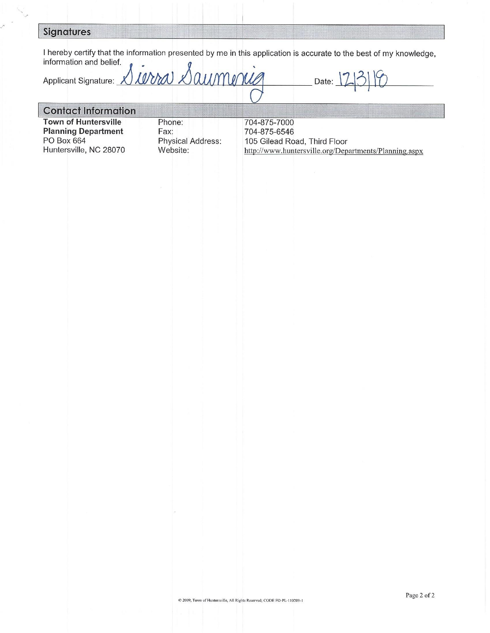### **Signatures**

I hereby certify that the information presented by me in this application is accurate to the best of my knowledge, information and belief.

aumence arra D Applicant Signature: X Date:

## **Contact Information**

**Town of Huntersville Planning Department** PO Box 664 Huntersville, NC 28070

Phone: Fax: Physical Address: Website:

704-875-7000 704-875-6546 105 Gilead Road, Third Floor http://www.huntersville.org/Departments/Planning.aspx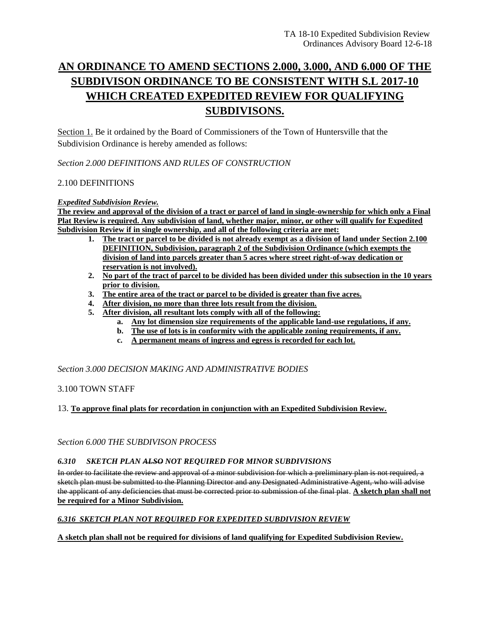# **AN ORDINANCE TO AMEND SECTIONS 2.000, 3.000, AND 6.000 OF THE SUBDIVISON ORDINANCE TO BE CONSISTENT WITH S.L 2017-10 WHICH CREATED EXPEDITED REVIEW FOR QUALIFYING SUBDIVISONS.**

Section 1. Be it ordained by the Board of Commissioners of the Town of Huntersville that the Subdivision Ordinance is hereby amended as follows:

*Section 2.000 DEFINITIONS AND RULES OF CONSTRUCTION*

#### 2.100 DEFINITIONS

#### *Expedited Subdivision Review.*

**The review and approval of the division of a tract or parcel of land in single-ownership for which only a Final Plat Review is required. Any subdivision of land, whether major, minor, or other will qualify for Expedited Subdivision Review if in single ownership, and all of the following criteria are met:** 

- **1. The tract or parcel to be divided is not already exempt as a division of land under Section 2.100 DEFINITION, Subdivision, paragraph 2 of the Subdivision Ordinance (which exempts the division of land into parcels greater than 5 acres where street right-of-way dedication or reservation is not involved).**
- **2. No part of the tract of parcel to be divided has been divided under this subsection in the 10 years prior to division.**
- **3. The entire area of the tract or parcel to be divided is greater than five acres.**
- **4. After division, no more than three lots result from the division.**
- **5. After division, all resultant lots comply with all of the following:**
	- **a. Any lot dimension size requirements of the applicable land-use regulations, if any.**
	- **b. The use of lots is in conformity with the applicable zoning requirements, if any.**
	- **c. A permanent means of ingress and egress is recorded for each lot.**

*Section 3.000 DECISION MAKING AND ADMINISTRATIVE BODIES*

#### 3.100 TOWN STAFF

13. **To approve final plats for recordation in conjunction with an Expedited Subdivision Review.**

*Section 6.000 THE SUBDIVISON PROCESS* 

#### *6.310 SKETCH PLAN ALSO NOT REQUIRED FOR MINOR SUBDIVISIONS*

In order to facilitate the review and approval of a minor subdivision for which a preliminary plan is not required, a sketch plan must be submitted to the Planning Director and any Designated Administrative Agent, who will advise the applicant of any deficiencies that must be corrected prior to submission of the final plat. **A sketch plan shall not be required for a Minor Subdivision.**

#### *6.316 SKETCH PLAN NOT REQUIRED FOR EXPEDITED SUBDIVISION REVIEW*

**A sketch plan shall not be required for divisions of land qualifying for Expedited Subdivision Review.**